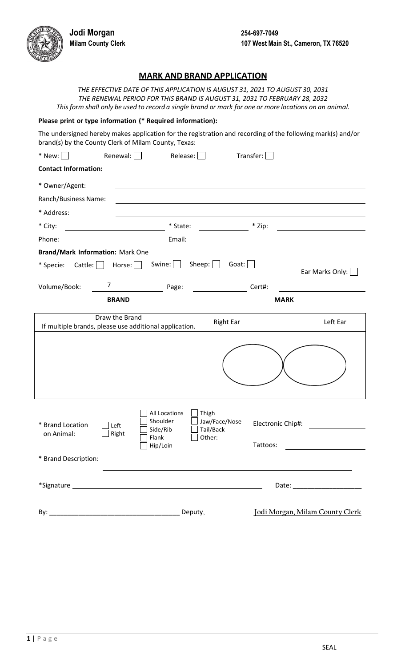**Jodi Morgan 254-697-7049**



## **MARK AND BRAND APPLICATION**

*THE EFFECTIVE DATE OF THIS APPLICATION IS AUGUST 31, 2021 TO AUGUST 30, 2031 THE RENEWAL PERIOD FOR THIS BRAND IS AUGUST 31, 2031 TO FEBRUARY 28, 2032* This form shall only be used to record a single brand or mark for one or more locations on an animal.

## **Please print or type information (\* Required information):**

The undersigned hereby makes application for the registration and recording of the following mark(s) and/or brand(s) by the County Clerk of Milam County, Texas:

| $*$ New: $\Box$                                        | Renewal: $\Box$<br>Release:                                                        | Transfer:                                     |                                                                                                                                                                                                                                                                                                                                                                                                                                                                                  |
|--------------------------------------------------------|------------------------------------------------------------------------------------|-----------------------------------------------|----------------------------------------------------------------------------------------------------------------------------------------------------------------------------------------------------------------------------------------------------------------------------------------------------------------------------------------------------------------------------------------------------------------------------------------------------------------------------------|
| <b>Contact Information:</b>                            |                                                                                    |                                               |                                                                                                                                                                                                                                                                                                                                                                                                                                                                                  |
| * Owner/Agent:                                         |                                                                                    |                                               |                                                                                                                                                                                                                                                                                                                                                                                                                                                                                  |
| Ranch/Business Name:                                   |                                                                                    |                                               |                                                                                                                                                                                                                                                                                                                                                                                                                                                                                  |
| * Address:                                             |                                                                                    |                                               |                                                                                                                                                                                                                                                                                                                                                                                                                                                                                  |
| * City:                                                | * State:                                                                           | * Zip:                                        |                                                                                                                                                                                                                                                                                                                                                                                                                                                                                  |
| Phone:                                                 | Email:                                                                             |                                               |                                                                                                                                                                                                                                                                                                                                                                                                                                                                                  |
| <b>Brand/Mark Information: Mark One</b>                |                                                                                    |                                               |                                                                                                                                                                                                                                                                                                                                                                                                                                                                                  |
| Cattle: $\Box$<br>* Specie:                            | Swine: $\Box$<br>Horse:                                                            | Sheep: $\Box$<br>Goat: $\Box$                 | Ear Marks Only: U                                                                                                                                                                                                                                                                                                                                                                                                                                                                |
| 7<br>Volume/Book:                                      | Page:                                                                              | Cert#:                                        |                                                                                                                                                                                                                                                                                                                                                                                                                                                                                  |
|                                                        | <b>BRAND</b>                                                                       |                                               | <b>MARK</b>                                                                                                                                                                                                                                                                                                                                                                                                                                                                      |
|                                                        | Draw the Brand<br>If multiple brands, please use additional application.           | <b>Right Ear</b>                              | Left Ear                                                                                                                                                                                                                                                                                                                                                                                                                                                                         |
|                                                        |                                                                                    |                                               |                                                                                                                                                                                                                                                                                                                                                                                                                                                                                  |
| * Brand Location<br>on Animal:<br>* Brand Description: | All Locations<br>Shoulder<br>Left<br>Side/Rib<br>Right<br>Flank<br>$\Box$ Hip/Loin | Thigh<br>Jaw/Face/Nose<br>Tail/Back<br>Other: | Electronic Chip#:<br>$Tattoos: \begin{tabular}{c} \hline \rule[1ex]{1ex}{1ex}\quad \rule[1ex]{1ex}{1ex}\quad \rule[1ex]{1ex}{1ex}\quad \rule[1ex]{1ex}{1ex}\quad \rule[1ex]{1ex}{1ex}\quad \rule[1ex]{1ex}{1ex}\quad \rule[1ex]{1ex}{1ex}\quad \rule[1ex]{1ex}{1ex}\quad \rule[1ex]{1ex}{1ex}\quad \rule[1ex]{1ex}{1ex}\quad \rule[1ex]{1ex}{1ex}\quad \rule[1ex]{1ex}{1ex}\quad \rule[1ex]{1ex}{1ex}\quad \rule[1ex]{1ex}{1ex}\quad \rule[1ex]{1ex}{1ex}\quad \rule[1ex]{1ex}{$ |
|                                                        |                                                                                    |                                               | Date: ________________________                                                                                                                                                                                                                                                                                                                                                                                                                                                   |
| By:                                                    | Deputy,                                                                            |                                               | Jodi Morgan, Milam County Clerk                                                                                                                                                                                                                                                                                                                                                                                                                                                  |